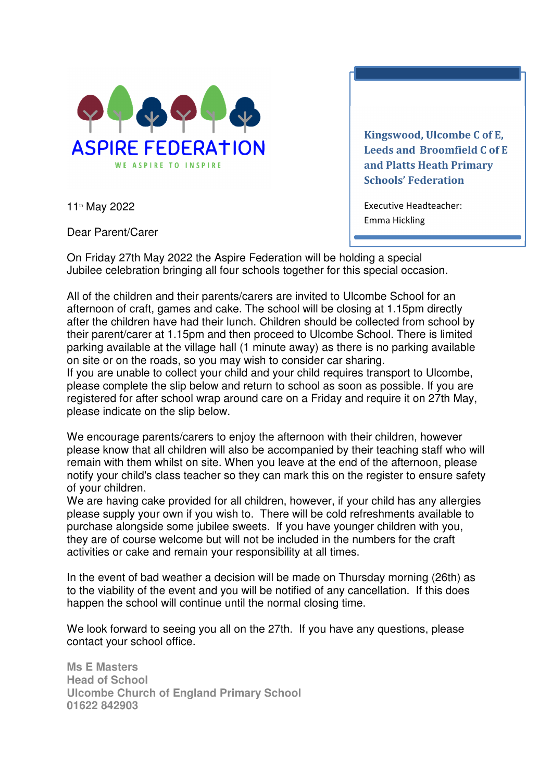

11th May 2022

Kingswood, Ulcombe C of E, Leeds and Broomfield C of E and Platts Heath Primary Schools' Federation

Executive Headteacher: Emma Hickling

Dear Parent/Carer

On Friday 27th May 2022 the Aspire Federation will be holding a special Jubilee celebration bringing all four schools together for this special occasion.

All of the children and their parents/carers are invited to Ulcombe School for an afternoon of craft, games and cake. The school will be closing at 1.15pm directly after the children have had their lunch. Children should be collected from school by their parent/carer at 1.15pm and then proceed to Ulcombe School. There is limited parking available at the village hall (1 minute away) as there is no parking available on site or on the roads, so you may wish to consider car sharing.

If you are unable to collect your child and your child requires transport to Ulcombe, please complete the slip below and return to school as soon as possible. If you are registered for after school wrap around care on a Friday and require it on 27th May, please indicate on the slip below. İ

We encourage parents/carers to enjoy the afternoon with their children, however please know that all children will also be accompanied by their teaching staff who will remain with them whilst on site. When you leave at the end of the afternoon, please notify your child's class teacher so they can mark this on the register to ensure safety of your children.

We are having cake provided for all children, however, if your child has any allergies please supply your own if you wish to. There will be cold refreshments available to purchase alongside some jubilee sweets. If you have younger children with you, they are of course welcome but will not be included in the numbers for the craft activities or cake and remain your responsibility at all times.

In the event of bad weather a decision will be made on Thursday morning (26th) as to the viability of the event and you will be notified of any cancellation. If this does happen the school will continue until the normal closing time.

We look forward to seeing you all on the 27th. If you have any questions, please contact your school office.

**Ms E Masters Head of School Ulcombe Church of England Primary School 01622 842903**